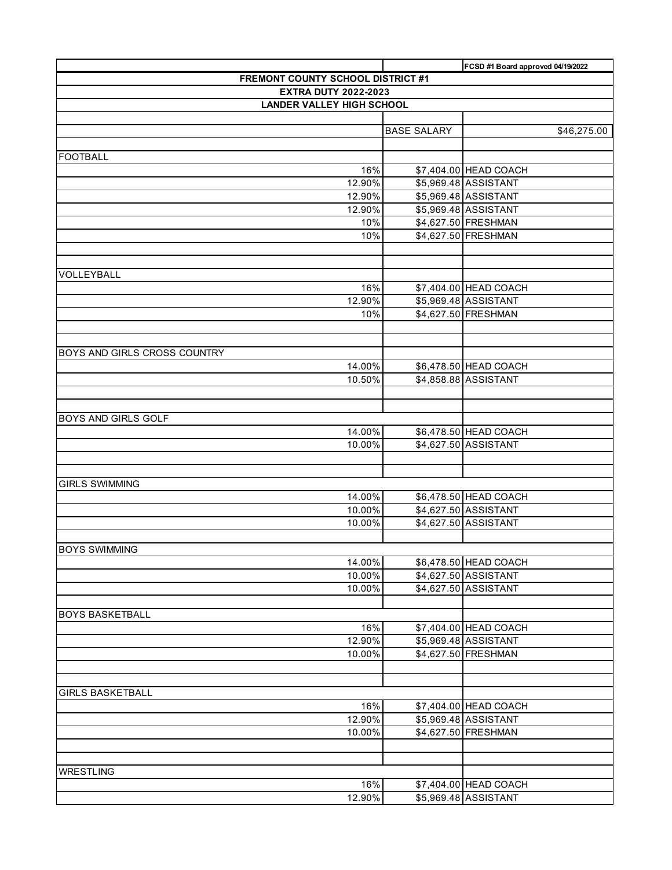|                                   |     |                    | FCSD #1 Board approved 04/19/2022 |
|-----------------------------------|-----|--------------------|-----------------------------------|
| FREMONT COUNTY SCHOOL DISTRICT #1 |     |                    |                                   |
| <b>EXTRA DUTY 2022-2023</b>       |     |                    |                                   |
| <b>LANDER VALLEY HIGH SCHOOL</b>  |     |                    |                                   |
|                                   |     |                    |                                   |
|                                   |     | <b>BASE SALARY</b> | \$46,275.00                       |
|                                   |     |                    |                                   |
| <b>FOOTBALL</b>                   |     |                    |                                   |
|                                   | 16% |                    | \$7,404.00 HEAD COACH             |
| 12.90%                            |     |                    | \$5,969.48 ASSISTANT              |
| 12.90%                            |     |                    | \$5,969.48 ASSISTANT              |
| 12.90%                            |     |                    | \$5,969.48 ASSISTANT              |
|                                   | 10% |                    | \$4,627.50 FRESHMAN               |
|                                   | 10% |                    | \$4,627.50 FRESHMAN               |
|                                   |     |                    |                                   |
|                                   |     |                    |                                   |
| <b>VOLLEYBALL</b>                 |     |                    |                                   |
|                                   | 16% |                    | \$7,404.00 HEAD COACH             |
| 12.90%                            |     |                    | \$5,969.48 ASSISTANT              |
|                                   | 10% |                    | \$4,627.50 FRESHMAN               |
|                                   |     |                    |                                   |
|                                   |     |                    |                                   |
| BOYS AND GIRLS CROSS COUNTRY      |     |                    |                                   |
| 14.00%                            |     |                    | \$6,478.50 HEAD COACH             |
| 10.50%                            |     |                    | \$4,858.88 ASSISTANT              |
|                                   |     |                    |                                   |
|                                   |     |                    |                                   |
| <b>BOYS AND GIRLS GOLF</b>        |     |                    |                                   |
| 14.00%                            |     |                    | \$6,478.50 HEAD COACH             |
| 10.00%                            |     |                    | \$4,627.50 ASSISTANT              |
|                                   |     |                    |                                   |
|                                   |     |                    |                                   |
| <b>GIRLS SWIMMING</b>             |     |                    |                                   |
| 14.00%                            |     |                    | \$6,478.50 HEAD COACH             |
| 10.00%                            |     |                    | \$4,627.50 ASSISTANT              |
| 10.00%                            |     |                    | \$4,627.50 ASSISTANT              |
|                                   |     |                    |                                   |
| <b>BOYS SWIMMING</b>              |     |                    |                                   |
| 14.00%                            |     |                    | \$6,478.50 HEAD COACH             |
| 10.00%                            |     |                    | \$4,627.50 ASSISTANT              |
| 10.00%                            |     |                    | \$4,627.50 ASSISTANT              |
|                                   |     |                    |                                   |
| <b>BOYS BASKETBALL</b>            |     |                    |                                   |
|                                   | 16% |                    | \$7,404.00 HEAD COACH             |
| 12.90%                            |     |                    | \$5,969.48 ASSISTANT              |
| 10.00%                            |     |                    | \$4,627.50 FRESHMAN               |
|                                   |     |                    |                                   |
|                                   |     |                    |                                   |
| <b>GIRLS BASKETBALL</b>           |     |                    |                                   |
|                                   | 16% |                    | \$7,404.00 HEAD COACH             |
| 12.90%                            |     |                    | \$5,969.48 ASSISTANT              |
| 10.00%                            |     |                    | \$4,627.50 FRESHMAN               |
|                                   |     |                    |                                   |
|                                   |     |                    |                                   |
| <b>WRESTLING</b>                  |     |                    |                                   |
|                                   | 16% |                    | \$7,404.00 HEAD COACH             |
| 12.90%                            |     |                    | \$5,969.48 ASSISTANT              |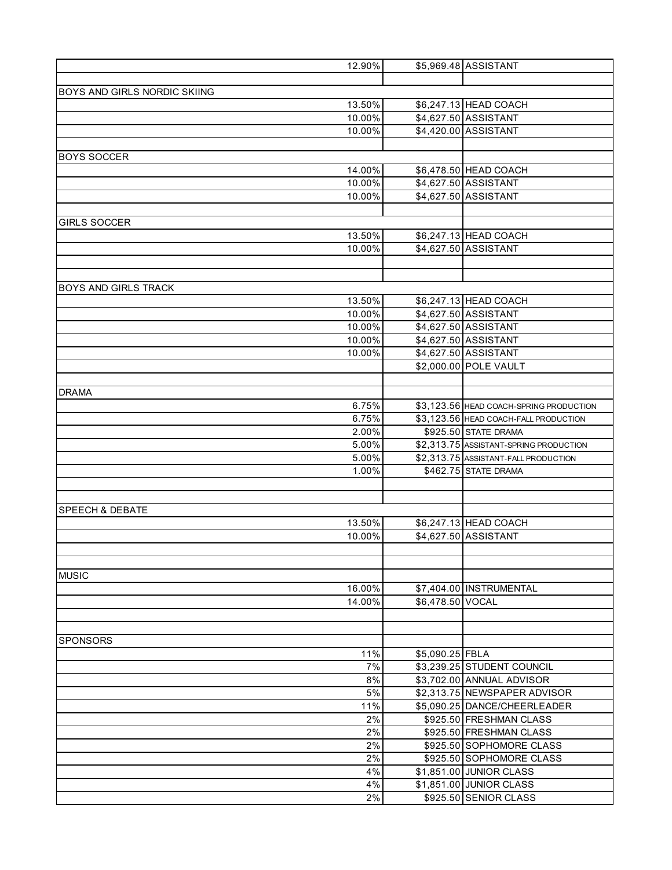| 12.90%                       |                  | \$5,969.48 ASSISTANT                                          |
|------------------------------|------------------|---------------------------------------------------------------|
|                              |                  |                                                               |
| BOYS AND GIRLS NORDIC SKIING |                  |                                                               |
| 13.50%                       |                  | \$6,247.13 HEAD COACH                                         |
| 10.00%                       |                  | \$4,627.50 ASSISTANT                                          |
| 10.00%                       |                  | \$4,420.00 ASSISTANT                                          |
|                              |                  |                                                               |
| <b>BOYS SOCCER</b>           |                  |                                                               |
| 14.00%                       |                  | \$6,478.50 HEAD COACH                                         |
| 10.00%                       |                  | \$4,627.50 ASSISTANT                                          |
| 10.00%                       |                  | \$4,627.50 ASSISTANT                                          |
|                              |                  |                                                               |
| <b>GIRLS SOCCER</b>          |                  |                                                               |
| 13.50%                       |                  | \$6,247.13 HEAD COACH                                         |
| 10.00%                       |                  | \$4,627.50 ASSISTANT                                          |
|                              |                  |                                                               |
| <b>BOYS AND GIRLS TRACK</b>  |                  |                                                               |
|                              |                  |                                                               |
| 13.50%                       |                  | \$6,247.13 HEAD COACH<br>\$4,627.50 ASSISTANT                 |
| 10.00%                       |                  | \$4,627.50 ASSISTANT                                          |
| 10.00%                       |                  | \$4,627.50 ASSISTANT                                          |
| 10.00%                       |                  |                                                               |
| 10.00%                       |                  | \$4,627.50 ASSISTANT                                          |
|                              |                  | \$2,000.00 POLE VAULT                                         |
| <b>DRAMA</b>                 |                  |                                                               |
| 6.75%                        |                  |                                                               |
| 6.75%                        |                  | \$3,123.56 HEAD COACH-SPRING PRODUCTION                       |
| 2.00%                        |                  | \$3,123.56 HEAD COACH-FALL PRODUCTION<br>\$925.50 STATE DRAMA |
| 5.00%                        |                  | \$2,313.75 ASSISTANT-SPRING PRODUCTION                        |
| 5.00%                        |                  | \$2,313.75 ASSISTANT-FALL PRODUCTION                          |
| 1.00%                        |                  | \$462.75 STATE DRAMA                                          |
|                              |                  |                                                               |
|                              |                  |                                                               |
| SPEECH & DEBATE              |                  |                                                               |
| 13.50%                       |                  | \$6,247.13 HEAD COACH                                         |
| 10.00%                       |                  | \$4,627.50 ASSISTANT                                          |
|                              |                  |                                                               |
|                              |                  |                                                               |
| <b>MUSIC</b>                 |                  |                                                               |
| 16.00%                       |                  | \$7,404.00 INSTRUMENTAL                                       |
| 14.00%                       | \$6,478.50 VOCAL |                                                               |
|                              |                  |                                                               |
|                              |                  |                                                               |
| <b>SPONSORS</b>              |                  |                                                               |
| 11%                          | \$5,090.25 FBLA  |                                                               |
| 7%                           |                  | \$3,239.25 STUDENT COUNCIL                                    |
| 8%                           |                  | \$3,702.00 ANNUAL ADVISOR                                     |
| 5%                           |                  | \$2,313.75 NEWSPAPER ADVISOR                                  |
| 11%                          |                  | \$5,090.25 DANCE/CHEERLEADER                                  |
| 2%                           |                  | \$925.50 FRESHMAN CLASS                                       |
| 2%                           |                  | \$925.50 FRESHMAN CLASS                                       |
| 2%                           |                  | \$925.50 SOPHOMORE CLASS                                      |
| 2%                           |                  | \$925.50 SOPHOMORE CLASS                                      |
| 4%                           |                  | \$1,851.00 JUNIOR CLASS                                       |
| 4%                           |                  | \$1,851.00 JUNIOR CLASS                                       |
| 2%                           |                  | \$925.50 SENIOR CLASS                                         |
|                              |                  |                                                               |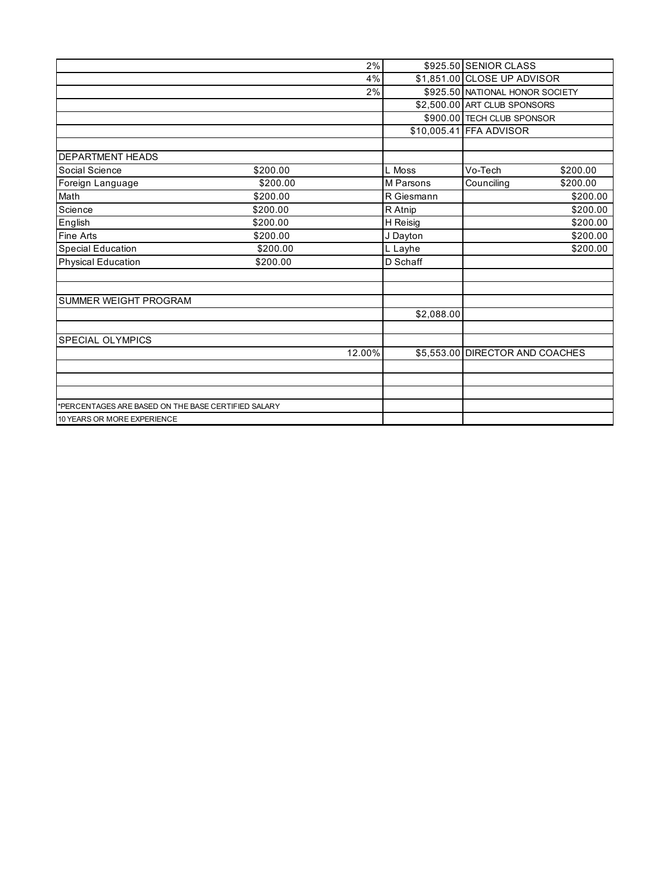|                                                     | 2%       |            | \$925.50 SENIOR CLASS           |          |
|-----------------------------------------------------|----------|------------|---------------------------------|----------|
|                                                     | 4%       |            | \$1,851.00 CLOSE UP ADVISOR     |          |
|                                                     | 2%       |            | \$925.50 NATIONAL HONOR SOCIETY |          |
|                                                     |          |            | \$2,500.00 ART CLUB SPONSORS    |          |
|                                                     |          |            | \$900.00 TECH CLUB SPONSOR      |          |
|                                                     |          |            | \$10,005.41 FFA ADVISOR         |          |
|                                                     |          |            |                                 |          |
| <b>DEPARTMENT HEADS</b>                             |          |            |                                 |          |
| Social Science                                      | \$200.00 | L Moss     | Vo-Tech                         | \$200.00 |
| Foreign Language                                    | \$200.00 | M Parsons  | Counciling                      | \$200.00 |
| Math                                                | \$200.00 | R Giesmann |                                 | \$200.00 |
| Science                                             | \$200.00 | R Atnip    |                                 | \$200.00 |
| English                                             | \$200.00 | H Reisig   |                                 | \$200.00 |
| <b>Fine Arts</b>                                    | \$200.00 | J Dayton   |                                 | \$200.00 |
| Special Education                                   | \$200.00 | L Layhe    |                                 | \$200.00 |
| <b>Physical Education</b>                           | \$200.00 | D Schaff   |                                 |          |
|                                                     |          |            |                                 |          |
|                                                     |          |            |                                 |          |
| <b>SUMMER WEIGHT PROGRAM</b>                        |          |            |                                 |          |
|                                                     |          | \$2,088.00 |                                 |          |
|                                                     |          |            |                                 |          |
| <b>SPECIAL OLYMPICS</b>                             |          |            |                                 |          |
|                                                     | 12.00%   |            | \$5,553.00 DIRECTOR AND COACHES |          |
|                                                     |          |            |                                 |          |
|                                                     |          |            |                                 |          |
|                                                     |          |            |                                 |          |
| *PERCENTAGES ARE BASED ON THE BASE CERTIFIED SALARY |          |            |                                 |          |
| 10 YEARS OR MORE EXPERIENCE                         |          |            |                                 |          |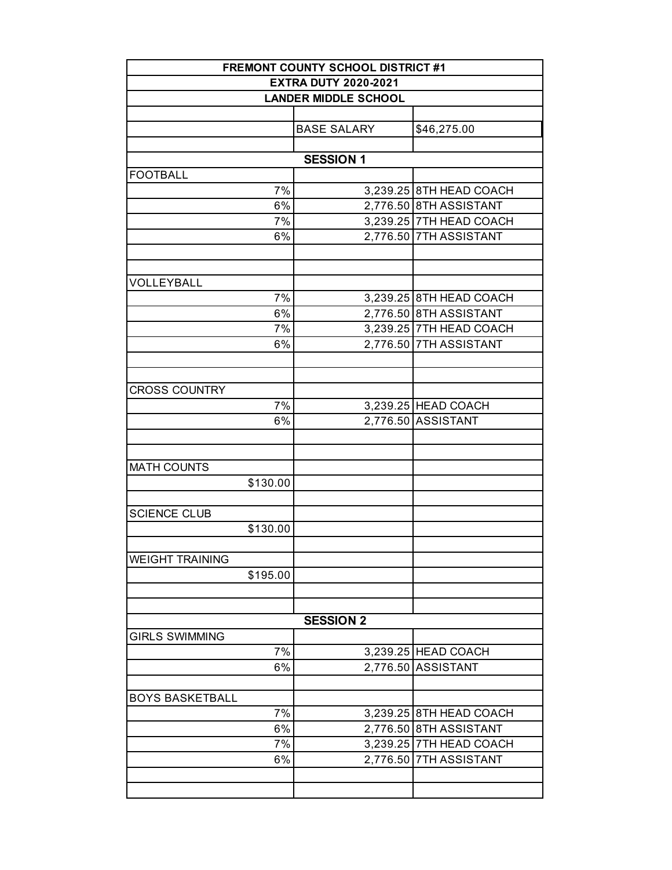|                             | <b>FREMONT COUNTY SCHOOL DISTRICT #1</b> |                         |  |
|-----------------------------|------------------------------------------|-------------------------|--|
| <b>EXTRA DUTY 2020-2021</b> |                                          |                         |  |
|                             | <b>LANDER MIDDLE SCHOOL</b>              |                         |  |
|                             |                                          |                         |  |
|                             | <b>BASE SALARY</b>                       | \$46,275.00             |  |
|                             |                                          |                         |  |
|                             | <b>SESSION 1</b>                         |                         |  |
| <b>FOOTBALL</b><br>7%       |                                          | 3,239.25 8TH HEAD COACH |  |
| 6%                          |                                          | 2,776.50 8TH ASSISTANT  |  |
| 7%                          |                                          | 3,239.25 7TH HEAD COACH |  |
| 6%                          |                                          | 2,776.50 7TH ASSISTANT  |  |
|                             |                                          |                         |  |
|                             |                                          |                         |  |
| VOLLEYBALL                  |                                          |                         |  |
| 7%                          |                                          | 3,239.25 8TH HEAD COACH |  |
| 6%                          |                                          | 2,776.50 8TH ASSISTANT  |  |
| 7%                          |                                          | 3,239.25 7TH HEAD COACH |  |
| 6%                          |                                          | 2,776.50 7TH ASSISTANT  |  |
|                             |                                          |                         |  |
|                             |                                          |                         |  |
| <b>CROSS COUNTRY</b>        |                                          |                         |  |
| 7%                          |                                          | 3,239.25 HEAD COACH     |  |
| 6%                          |                                          | 2,776.50 ASSISTANT      |  |
|                             |                                          |                         |  |
|                             |                                          |                         |  |
| <b>MATH COUNTS</b>          |                                          |                         |  |
| \$130.00                    |                                          |                         |  |
|                             |                                          |                         |  |
| <b>SCIENCE CLUB</b>         |                                          |                         |  |
| \$130.00                    |                                          |                         |  |
|                             |                                          |                         |  |
| <b>WEIGHT TRAINING</b>      |                                          |                         |  |
| \$195.00                    |                                          |                         |  |
|                             |                                          |                         |  |
|                             |                                          |                         |  |
|                             | <b>SESSION 2</b>                         |                         |  |
| <b>GIRLS SWIMMING</b>       |                                          |                         |  |
| 7%                          |                                          | 3,239.25 HEAD COACH     |  |
| 6%                          |                                          | 2,776.50 ASSISTANT      |  |
|                             |                                          |                         |  |
| <b>BOYS BASKETBALL</b>      |                                          |                         |  |
| 7%                          |                                          | 3,239.25 8TH HEAD COACH |  |
| 6%                          |                                          | 2,776.50 8TH ASSISTANT  |  |
| 7%                          |                                          | 3,239.25 7TH HEAD COACH |  |
| 6%                          | 2,776.50                                 | <b>7TH ASSISTANT</b>    |  |
|                             |                                          |                         |  |
|                             |                                          |                         |  |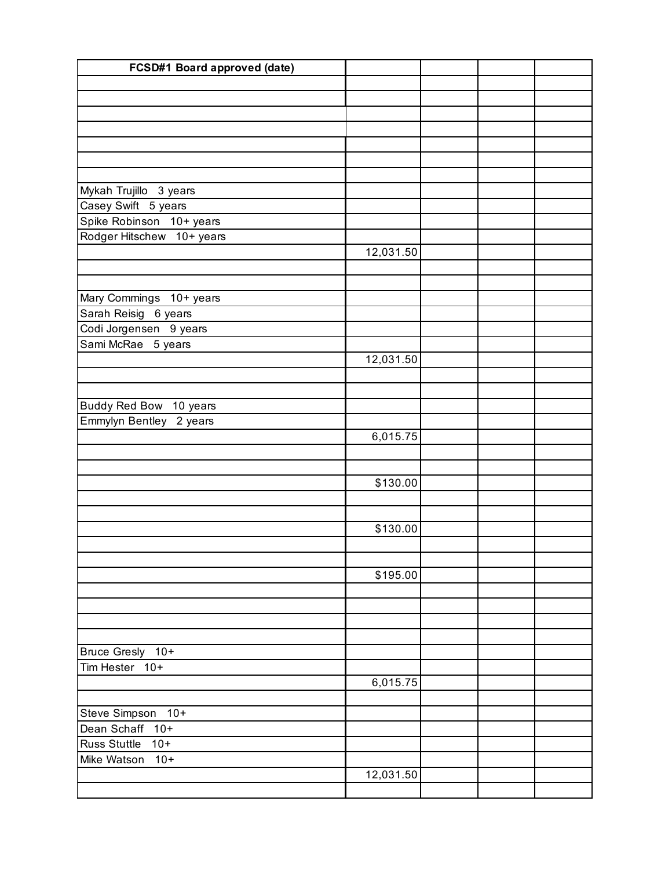| FCSD#1 Board approved (date) |           |  |  |
|------------------------------|-----------|--|--|
|                              |           |  |  |
|                              |           |  |  |
|                              |           |  |  |
|                              |           |  |  |
|                              |           |  |  |
|                              |           |  |  |
|                              |           |  |  |
| Mykah Trujillo 3 years       |           |  |  |
| Casey Swift 5 years          |           |  |  |
| Spike Robinson 10+ years     |           |  |  |
| Rodger Hitschew 10+ years    |           |  |  |
|                              | 12,031.50 |  |  |
|                              |           |  |  |
|                              |           |  |  |
| Mary Commings 10+ years      |           |  |  |
| Sarah Reisig 6 years         |           |  |  |
| Codi Jorgensen 9 years       |           |  |  |
| Sami McRae 5 years           |           |  |  |
|                              | 12,031.50 |  |  |
|                              |           |  |  |
|                              |           |  |  |
| Buddy Red Bow 10 years       |           |  |  |
| Emmylyn Bentley 2 years      |           |  |  |
|                              | 6,015.75  |  |  |
|                              |           |  |  |
|                              |           |  |  |
|                              | \$130.00  |  |  |
|                              |           |  |  |
|                              |           |  |  |
|                              | \$130.00  |  |  |
|                              |           |  |  |
|                              |           |  |  |
|                              | \$195.00  |  |  |
|                              |           |  |  |
|                              |           |  |  |
|                              |           |  |  |
|                              |           |  |  |
| Bruce Gresly 10+             |           |  |  |
| Tim Hester $10+$             |           |  |  |
|                              | 6,015.75  |  |  |
|                              |           |  |  |
| Steve Simpson 10+            |           |  |  |
| Dean Schaff 10+              |           |  |  |
| Russ Stuttle 10+             |           |  |  |
| Mike Watson 10+              |           |  |  |
|                              | 12,031.50 |  |  |
|                              |           |  |  |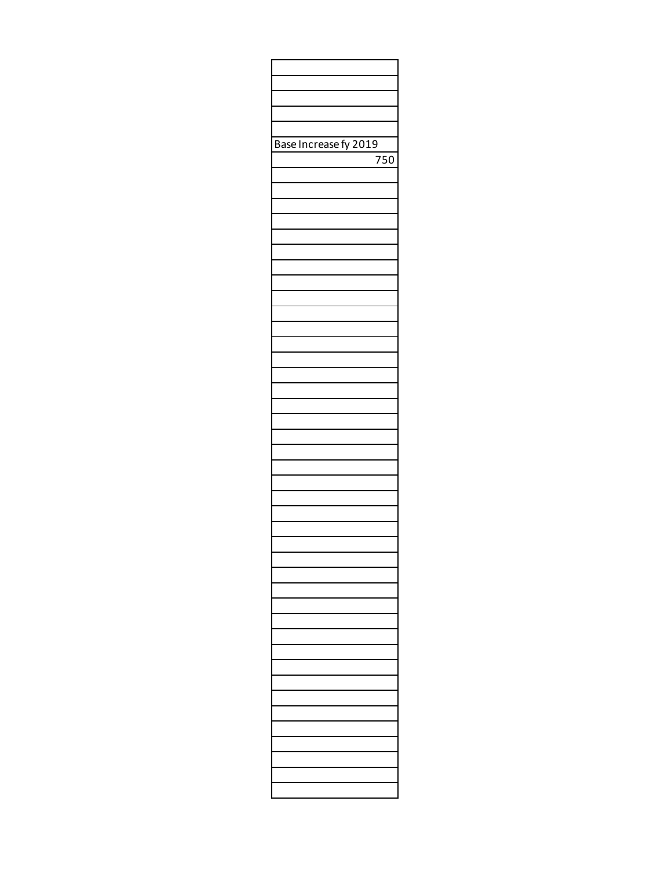| Base Increase fy 2019 |
|-----------------------|
| $\overline{750}$      |
|                       |
|                       |
|                       |
|                       |
|                       |
|                       |
|                       |
|                       |
|                       |
|                       |
|                       |
|                       |
|                       |
|                       |
|                       |
|                       |
|                       |
|                       |
|                       |
|                       |
|                       |
|                       |
|                       |
|                       |
|                       |
|                       |
|                       |
|                       |
|                       |
|                       |
|                       |
|                       |
|                       |
|                       |
|                       |
|                       |
|                       |
|                       |
|                       |
|                       |
|                       |
|                       |
|                       |
|                       |
|                       |
|                       |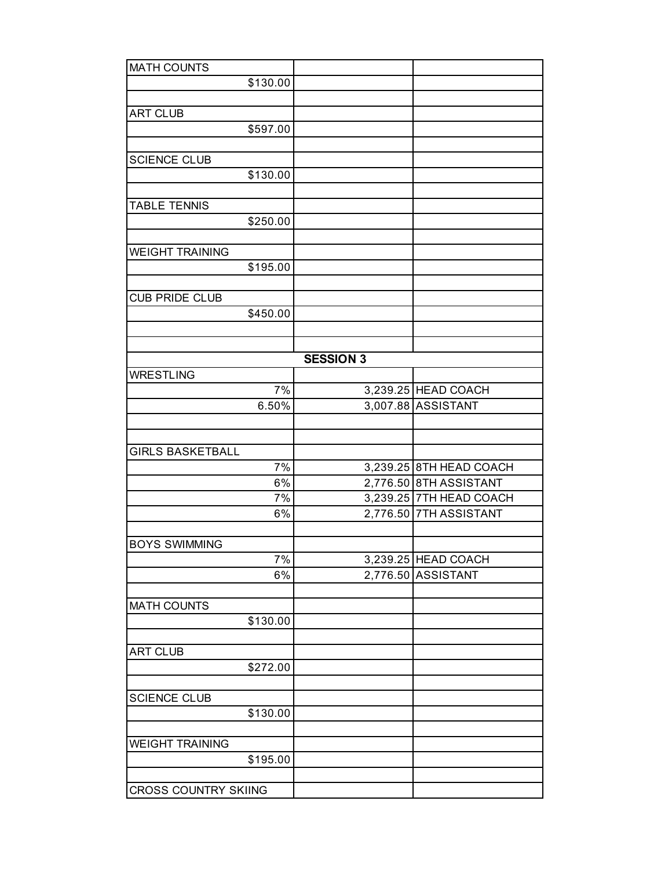| <b>MATH COUNTS</b>          |                  |                         |
|-----------------------------|------------------|-------------------------|
| \$130.00                    |                  |                         |
|                             |                  |                         |
| <b>ART CLUB</b>             |                  |                         |
| \$597.00                    |                  |                         |
|                             |                  |                         |
| <b>SCIENCE CLUB</b>         |                  |                         |
| \$130.00                    |                  |                         |
|                             |                  |                         |
| <b>TABLE TENNIS</b>         |                  |                         |
| \$250.00                    |                  |                         |
|                             |                  |                         |
| <b>WEIGHT TRAINING</b>      |                  |                         |
| \$195.00                    |                  |                         |
|                             |                  |                         |
| <b>CUB PRIDE CLUB</b>       |                  |                         |
| \$450.00                    |                  |                         |
|                             |                  |                         |
|                             |                  |                         |
|                             | <b>SESSION 3</b> |                         |
| <b>WRESTLING</b>            |                  |                         |
| 7%                          |                  | 3,239.25 HEAD COACH     |
| 6.50%                       |                  | 3,007.88 ASSISTANT      |
|                             |                  |                         |
|                             |                  |                         |
| <b>GIRLS BASKETBALL</b>     |                  |                         |
| 7%                          |                  | 3,239.25 8TH HEAD COACH |
| 6%                          |                  | 2,776.50 8TH ASSISTANT  |
| 7%                          |                  | 3,239.25 7TH HEAD COACH |
| 6%                          |                  | 2,776.50 7TH ASSISTANT  |
| <b>BOYS SWIMMING</b>        |                  |                         |
| 7%                          |                  | 3,239.25 HEAD COACH     |
| 6%                          |                  | 2,776.50 ASSISTANT      |
|                             |                  |                         |
| <b>MATH COUNTS</b>          |                  |                         |
| \$130.00                    |                  |                         |
|                             |                  |                         |
| <b>ART CLUB</b>             |                  |                         |
| \$272.00                    |                  |                         |
|                             |                  |                         |
| <b>SCIENCE CLUB</b>         |                  |                         |
| \$130.00                    |                  |                         |
|                             |                  |                         |
| <b>WEIGHT TRAINING</b>      |                  |                         |
| \$195.00                    |                  |                         |
|                             |                  |                         |
| <b>CROSS COUNTRY SKIING</b> |                  |                         |
|                             |                  |                         |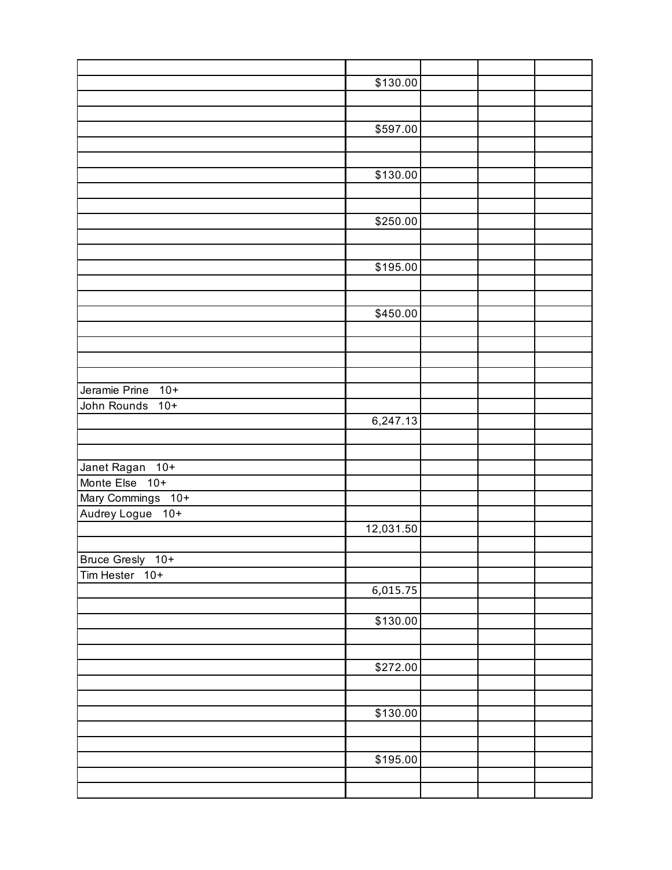|                   | \$130.00  |  |  |
|-------------------|-----------|--|--|
|                   |           |  |  |
|                   |           |  |  |
|                   | \$597.00  |  |  |
|                   |           |  |  |
|                   |           |  |  |
|                   | \$130.00  |  |  |
|                   |           |  |  |
|                   |           |  |  |
|                   | \$250.00  |  |  |
|                   |           |  |  |
|                   |           |  |  |
|                   | \$195.00  |  |  |
|                   |           |  |  |
|                   |           |  |  |
|                   | \$450.00  |  |  |
|                   |           |  |  |
|                   |           |  |  |
|                   |           |  |  |
|                   |           |  |  |
| Jeramie Prine 10+ |           |  |  |
| John Rounds 10+   |           |  |  |
|                   | 6,247.13  |  |  |
|                   |           |  |  |
|                   |           |  |  |
| Janet Ragan 10+   |           |  |  |
| Monte Else 10+    |           |  |  |
| Mary Commings 10+ |           |  |  |
| Audrey Logue 10+  |           |  |  |
|                   | 12,031.50 |  |  |
|                   |           |  |  |
| Bruce Gresly 10+  |           |  |  |
| Tim Hester 10+    |           |  |  |
|                   | 6,015.75  |  |  |
|                   |           |  |  |
|                   | \$130.00  |  |  |
|                   |           |  |  |
|                   |           |  |  |
|                   | \$272.00  |  |  |
|                   |           |  |  |
|                   |           |  |  |
|                   | \$130.00  |  |  |
|                   |           |  |  |
|                   |           |  |  |
|                   | \$195.00  |  |  |
|                   |           |  |  |
|                   |           |  |  |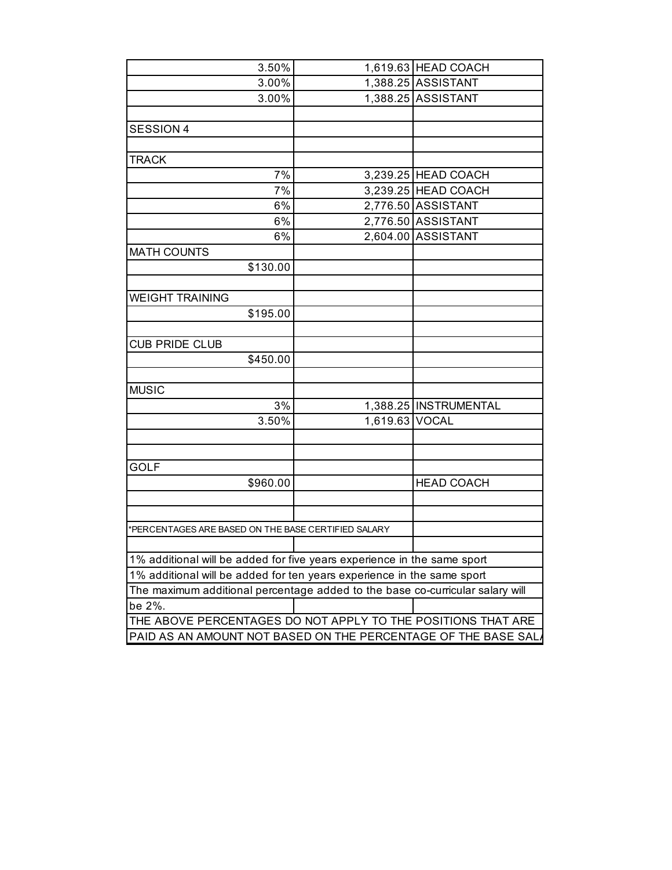| 3.50%                                                                         |                | 1,619.63 HEAD COACH     |
|-------------------------------------------------------------------------------|----------------|-------------------------|
| 3.00%                                                                         |                | 1,388.25 ASSISTANT      |
| 3.00%                                                                         |                | 1,388.25 ASSISTANT      |
| <b>SESSION 4</b>                                                              |                |                         |
|                                                                               |                |                         |
| <b>TRACK</b>                                                                  |                |                         |
| 7%                                                                            |                | 3,239.25 HEAD COACH     |
| 7%                                                                            |                | 3,239.25 HEAD COACH     |
| 6%                                                                            |                | 2,776.50 ASSISTANT      |
| 6%                                                                            |                | 2,776.50 ASSISTANT      |
| 6%                                                                            |                | 2,604.00 ASSISTANT      |
| <b>MATH COUNTS</b>                                                            |                |                         |
| \$130.00                                                                      |                |                         |
| <b>WEIGHT TRAINING</b>                                                        |                |                         |
| \$195.00                                                                      |                |                         |
| <b>CUB PRIDE CLUB</b>                                                         |                |                         |
| \$450.00                                                                      |                |                         |
| <b>MUSIC</b>                                                                  |                |                         |
| 3%                                                                            |                | 1,388.25   INSTRUMENTAL |
| 3.50%                                                                         | 1,619.63 VOCAL |                         |
|                                                                               |                |                         |
| <b>GOLF</b>                                                                   |                |                         |
| \$960.00                                                                      |                | <b>HEAD COACH</b>       |
|                                                                               |                |                         |
| *PERCENTAGES ARE BASED ON THE BASE CERTIFIED SALARY                           |                |                         |
| 1% additional will be added for five years experience in the same sport       |                |                         |
| 1% additional will be added for ten years experience in the same sport        |                |                         |
| The maximum additional percentage added to the base co-curricular salary will |                |                         |
| be 2%.                                                                        |                |                         |
| THE ABOVE PERCENTAGES DO NOT APPLY TO THE POSITIONS THAT ARE                  |                |                         |
| PAID AS AN AMOUNT NOT BASED ON THE PERCENTAGE OF THE BASE SAL.                |                |                         |